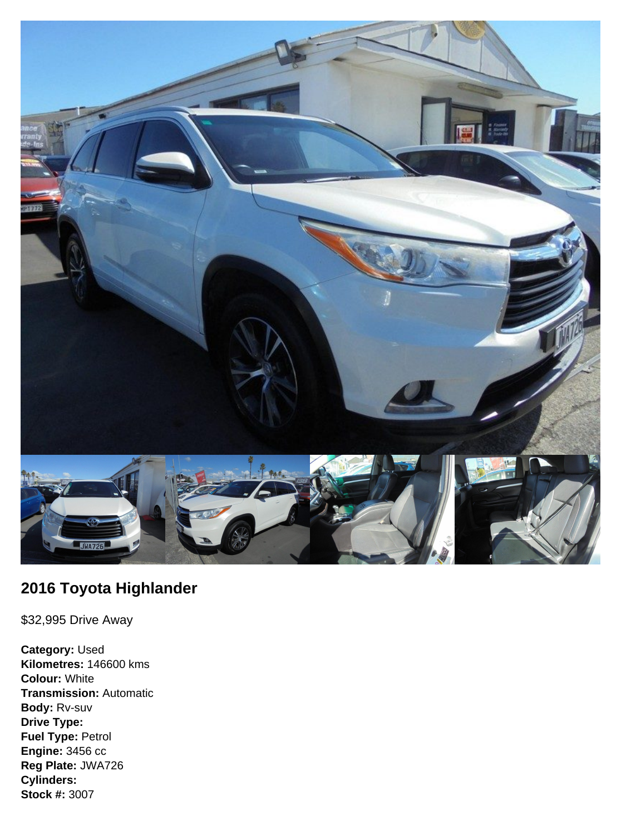

## **2016 Toyota Highlander**

\$32,995 Drive Away

**Category:** Used **Kilometres:** 146600 kms **Colour:** White **Transmission:** Automatic **Body:** Rv-suv **Drive Type: Fuel Type:** Petrol **Engine:** 3456 cc **Reg Plate:** JWA726 **Cylinders: Stock #:** 3007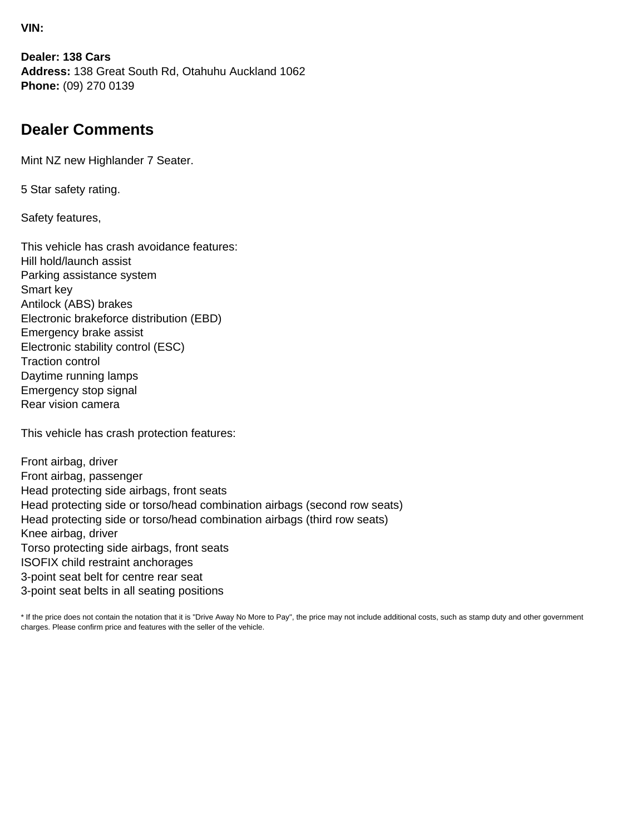**VIN:**

**Dealer: 138 Cars Address:** 138 Great South Rd, Otahuhu Auckland 1062 **Phone:** (09) 270 0139

## **Dealer Comments**

Mint NZ new Highlander 7 Seater.

5 Star safety rating.

Safety features,

This vehicle has crash avoidance features: Hill hold/launch assist Parking assistance system Smart key Antilock (ABS) brakes Electronic brakeforce distribution (EBD) Emergency brake assist Electronic stability control (ESC) Traction control Daytime running lamps Emergency stop signal Rear vision camera

This vehicle has crash protection features:

Front airbag, driver Front airbag, passenger Head protecting side airbags, front seats Head protecting side or torso/head combination airbags (second row seats) Head protecting side or torso/head combination airbags (third row seats) Knee airbag, driver Torso protecting side airbags, front seats ISOFIX child restraint anchorages 3-point seat belt for centre rear seat 3-point seat belts in all seating positions

\* If the price does not contain the notation that it is "Drive Away No More to Pay", the price may not include additional costs, such as stamp duty and other government charges. Please confirm price and features with the seller of the vehicle.